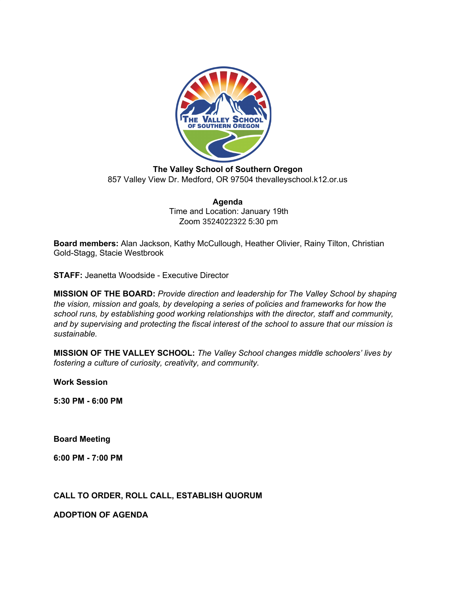

**The Valley School of Southern Oregon** 857 Valley View Dr. Medford, OR 97504 thevalleyschool.k12.or.us

> **Agenda** Time and Location: January 19th Zoom 3524022322 5:30 pm

**Board members:** Alan Jackson, Kathy McCullough, Heather Olivier, Rainy Tilton, Christian Gold-Stagg, Stacie Westbrook

**STAFF:** Jeanetta Woodside - Executive Director

**MISSION OF THE BOARD:** *Provide direction and leadership for The Valley School by shaping the vision, mission and goals, by developing a series of policies and frameworks for how the school runs, by establishing good working relationships with the director, staff and community, and by supervising and protecting the fiscal interest of the school to assure that our mission is sustainable.*

**MISSION OF THE VALLEY SCHOOL:** *The Valley School changes middle schoolers' lives by fostering a culture of curiosity, creativity, and community.*

**Work Session**

**5:30 PM - 6:00 PM**

**Board Meeting**

**6:00 PM - 7:00 PM**

**CALL TO ORDER, ROLL CALL, ESTABLISH QUORUM**

**ADOPTION OF AGENDA**